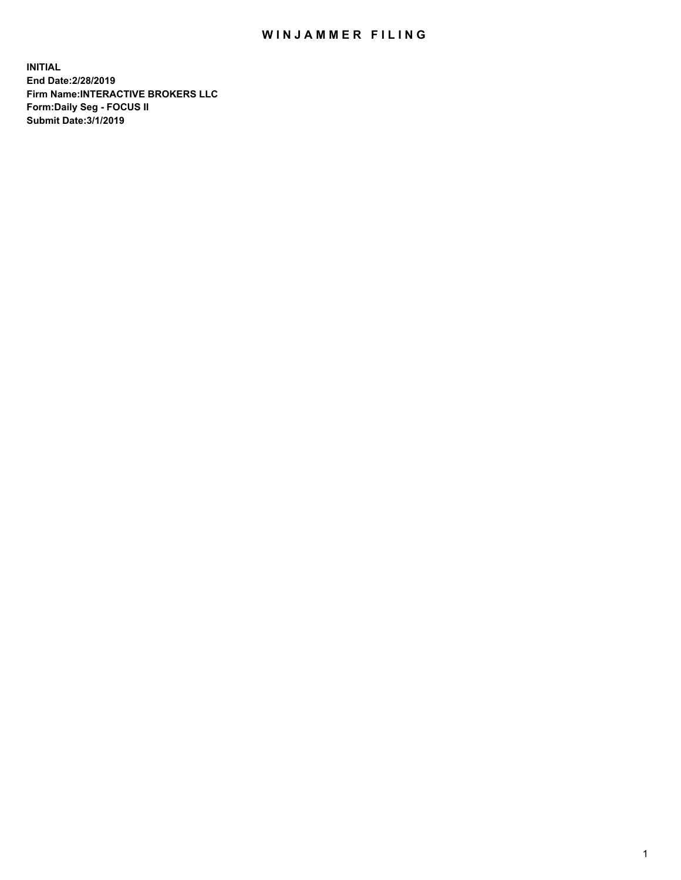## WIN JAMMER FILING

**INITIAL End Date:2/28/2019 Firm Name:INTERACTIVE BROKERS LLC Form:Daily Seg - FOCUS II Submit Date:3/1/2019**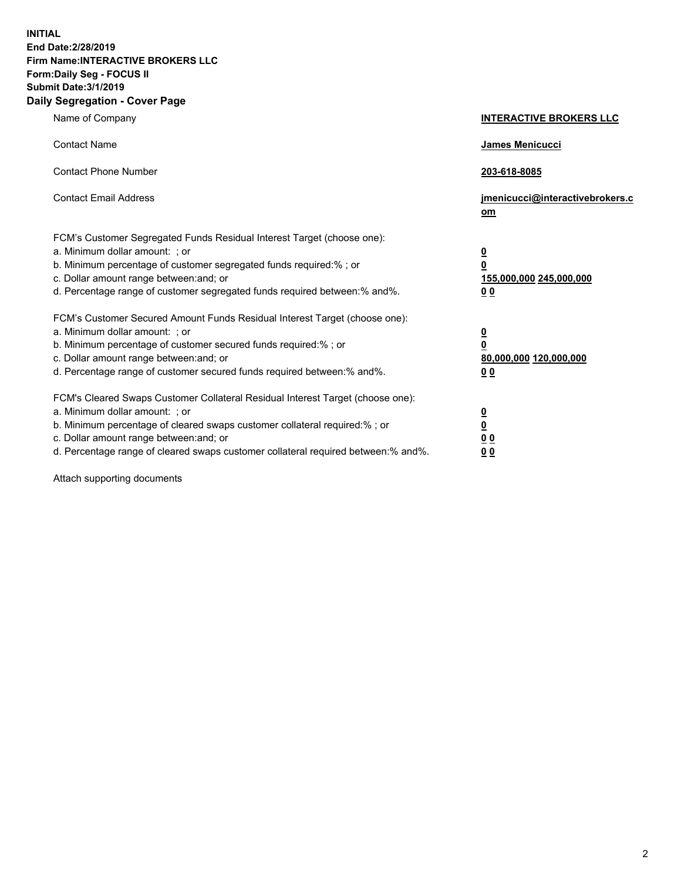**INITIAL End Date:2/28/2019 Firm Name:INTERACTIVE BROKERS LLC Form:Daily Seg - FOCUS II Submit Date:3/1/2019 Daily Segregation - Cover Page**

| Name of Company                                                                                                                                                                                                                                                                                                                | <b>INTERACTIVE BROKERS LLC</b>                                                                  |
|--------------------------------------------------------------------------------------------------------------------------------------------------------------------------------------------------------------------------------------------------------------------------------------------------------------------------------|-------------------------------------------------------------------------------------------------|
| <b>Contact Name</b>                                                                                                                                                                                                                                                                                                            | <b>James Menicucci</b>                                                                          |
| <b>Contact Phone Number</b>                                                                                                                                                                                                                                                                                                    | 203-618-8085                                                                                    |
| <b>Contact Email Address</b>                                                                                                                                                                                                                                                                                                   | jmenicucci@interactivebrokers.c<br>om                                                           |
| FCM's Customer Segregated Funds Residual Interest Target (choose one):<br>a. Minimum dollar amount: ; or<br>b. Minimum percentage of customer segregated funds required:% ; or<br>c. Dollar amount range between: and; or<br>d. Percentage range of customer segregated funds required between:% and%.                         | $\overline{\mathbf{0}}$<br>$\overline{\mathbf{0}}$<br>155,000,000 245,000,000<br>0 <sub>0</sub> |
| FCM's Customer Secured Amount Funds Residual Interest Target (choose one):<br>a. Minimum dollar amount: ; or<br>b. Minimum percentage of customer secured funds required:%; or<br>c. Dollar amount range between: and; or<br>d. Percentage range of customer secured funds required between:% and%.                            | $\frac{0}{0}$<br>80,000,000 120,000,000<br>0 <sub>0</sub>                                       |
| FCM's Cleared Swaps Customer Collateral Residual Interest Target (choose one):<br>a. Minimum dollar amount: ; or<br>b. Minimum percentage of cleared swaps customer collateral required:% ; or<br>c. Dollar amount range between: and; or<br>d. Percentage range of cleared swaps customer collateral required between:% and%. | $\frac{0}{0}$<br>0 <sub>0</sub><br>0 <sub>0</sub>                                               |

Attach supporting documents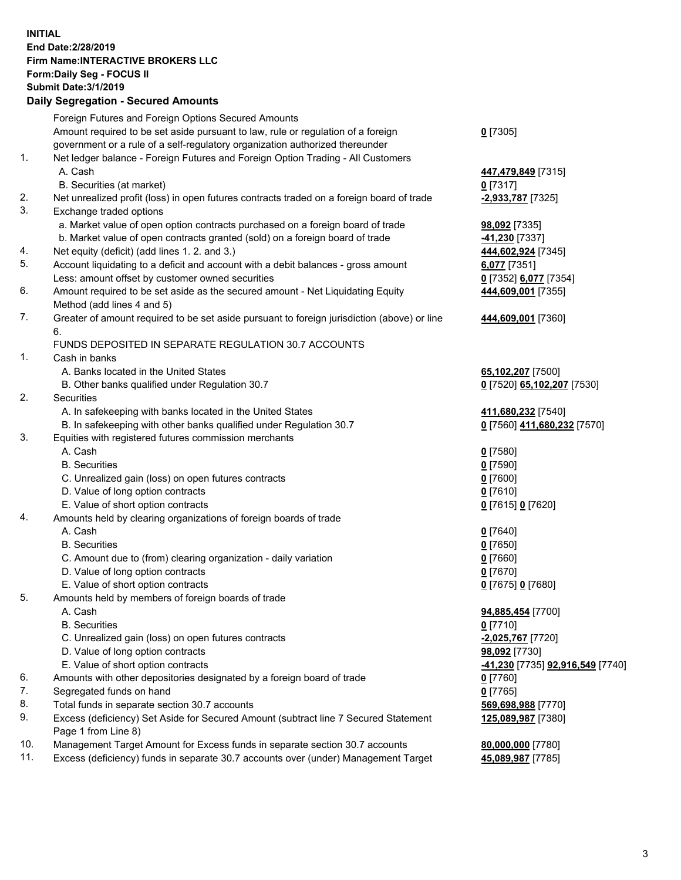## **INITIAL End Date:2/28/2019 Firm Name:INTERACTIVE BROKERS LLC Form:Daily Seg - FOCUS II Submit Date:3/1/2019 Daily Segregation - Secured Amounts**

|     | Foreign Futures and Foreign Options Secured Amounts                                               |                                                      |
|-----|---------------------------------------------------------------------------------------------------|------------------------------------------------------|
|     | Amount required to be set aside pursuant to law, rule or regulation of a foreign                  | $0$ [7305]                                           |
|     | government or a rule of a self-regulatory organization authorized thereunder                      |                                                      |
| 1.  | Net ledger balance - Foreign Futures and Foreign Option Trading - All Customers                   |                                                      |
|     | A. Cash                                                                                           | 447,479,849 [7315]                                   |
|     | B. Securities (at market)                                                                         | $0$ [7317]                                           |
| 2.  | Net unrealized profit (loss) in open futures contracts traded on a foreign board of trade         | -2,933,787 [7325]                                    |
| 3.  | Exchange traded options                                                                           |                                                      |
|     | a. Market value of open option contracts purchased on a foreign board of trade                    | 98,092 [7335]                                        |
|     | b. Market value of open contracts granted (sold) on a foreign board of trade                      | -41,230 [7337]                                       |
| 4.  | Net equity (deficit) (add lines 1. 2. and 3.)                                                     | 444,602,924 [7345]                                   |
| 5.  | Account liquidating to a deficit and account with a debit balances - gross amount                 | 6,077 [7351]                                         |
|     | Less: amount offset by customer owned securities                                                  | 0 [7352] 6,077 [7354]                                |
| 6.  | Amount required to be set aside as the secured amount - Net Liquidating Equity                    | 444,609,001 [7355]                                   |
|     | Method (add lines 4 and 5)                                                                        |                                                      |
| 7.  | Greater of amount required to be set aside pursuant to foreign jurisdiction (above) or line<br>6. | 444,609,001 [7360]                                   |
|     | FUNDS DEPOSITED IN SEPARATE REGULATION 30.7 ACCOUNTS                                              |                                                      |
| 1.  | Cash in banks                                                                                     |                                                      |
|     | A. Banks located in the United States                                                             | 65,102,207 [7500]                                    |
|     | B. Other banks qualified under Regulation 30.7                                                    | 0 [7520] 65,102,207 [7530]                           |
| 2.  | Securities                                                                                        |                                                      |
|     | A. In safekeeping with banks located in the United States                                         | 411,680,232 [7540]                                   |
|     | B. In safekeeping with other banks qualified under Regulation 30.7                                | 0 [7560] 411,680,232 [7570]                          |
| 3.  | Equities with registered futures commission merchants                                             |                                                      |
|     | A. Cash                                                                                           | $0$ [7580]                                           |
|     | <b>B.</b> Securities                                                                              | $0$ [7590]                                           |
|     | C. Unrealized gain (loss) on open futures contracts                                               | $0$ [7600]                                           |
|     | D. Value of long option contracts                                                                 | $0$ [7610]                                           |
|     | E. Value of short option contracts                                                                | 0 [7615] 0 [7620]                                    |
| 4.  | Amounts held by clearing organizations of foreign boards of trade                                 |                                                      |
|     | A. Cash                                                                                           | $0$ [7640]                                           |
|     | <b>B.</b> Securities                                                                              | $0$ [7650]                                           |
|     | C. Amount due to (from) clearing organization - daily variation                                   | $0$ [7660]                                           |
|     | D. Value of long option contracts                                                                 | $0$ [7670]                                           |
|     | E. Value of short option contracts                                                                | 0 [7675] 0 [7680]                                    |
| 5.  | Amounts held by members of foreign boards of trade                                                |                                                      |
|     | A. Cash                                                                                           | 94,885,454 [7700]                                    |
|     | <b>B.</b> Securities                                                                              | $0$ [7710]                                           |
|     | C. Unrealized gain (loss) on open futures contracts                                               | -2,025,767 [7720]                                    |
|     | D. Value of long option contracts                                                                 | 98,092 [7730]                                        |
|     | E. Value of short option contracts                                                                | <mark>-41,230</mark> [7735] <b>92,916,549</b> [7740] |
| 6.  | Amounts with other depositories designated by a foreign board of trade                            | $0$ [7760]                                           |
| 7.  | Segregated funds on hand                                                                          | $0$ [7765]                                           |
| 8.  | Total funds in separate section 30.7 accounts                                                     | 569,698,988 [7770]                                   |
| 9.  | Excess (deficiency) Set Aside for Secured Amount (subtract line 7 Secured Statement               | 125,089,987 [7380]                                   |
|     | Page 1 from Line 8)                                                                               |                                                      |
| 10. | Management Target Amount for Excess funds in separate section 30.7 accounts                       | 80,000,000 [7780]                                    |
| 11. | Excess (deficiency) funds in separate 30.7 accounts over (under) Management Target                | 45,089,987 [7785]                                    |
|     |                                                                                                   |                                                      |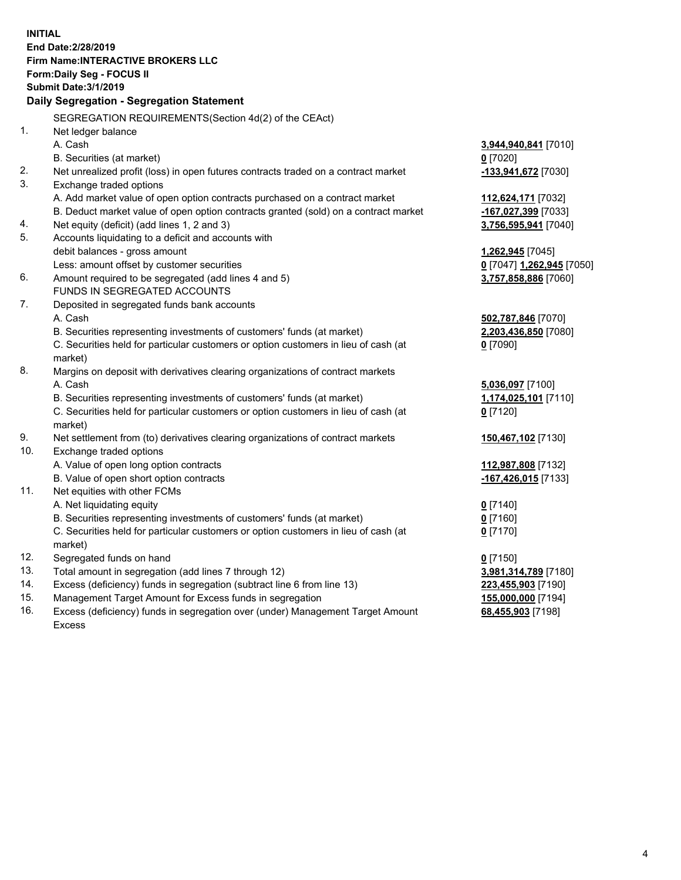**INITIAL End Date:2/28/2019 Firm Name:INTERACTIVE BROKERS LLC Form:Daily Seg - FOCUS II Submit Date:3/1/2019 Daily Segregation - Segregation Statement** SEGREGATION REQUIREMENTS(Section 4d(2) of the CEAct) 1. Net ledger balance A. Cash **3,944,940,841** [7010] B. Securities (at market) **0** [7020] 2. Net unrealized profit (loss) in open futures contracts traded on a contract market **-133,941,672** [7030] 3. Exchange traded options A. Add market value of open option contracts purchased on a contract market **112,624,171** [7032] B. Deduct market value of open option contracts granted (sold) on a contract market **-167,027,399** [7033] 4. Net equity (deficit) (add lines 1, 2 and 3) **3,756,595,941** [7040] 5. Accounts liquidating to a deficit and accounts with debit balances - gross amount **1,262,945** [7045] Less: amount offset by customer securities **0** [7047] **1,262,945** [7050] 6. Amount required to be segregated (add lines 4 and 5) **3,757,858,886** [7060] FUNDS IN SEGREGATED ACCOUNTS 7. Deposited in segregated funds bank accounts A. Cash **502,787,846** [7070] B. Securities representing investments of customers' funds (at market) **2,203,436,850** [7080] C. Securities held for particular customers or option customers in lieu of cash (at market) **0** [7090] 8. Margins on deposit with derivatives clearing organizations of contract markets A. Cash **5,036,097** [7100] B. Securities representing investments of customers' funds (at market) **1,174,025,101** [7110] C. Securities held for particular customers or option customers in lieu of cash (at market) **0** [7120] 9. Net settlement from (to) derivatives clearing organizations of contract markets **150,467,102** [7130] 10. Exchange traded options A. Value of open long option contracts **112,987,808** [7132] B. Value of open short option contracts **-167,426,015** [7133] 11. Net equities with other FCMs A. Net liquidating equity **0** [7140] B. Securities representing investments of customers' funds (at market) **0** [7160] C. Securities held for particular customers or option customers in lieu of cash (at market) **0** [7170] 12. Segregated funds on hand **0** [7150] 13. Total amount in segregation (add lines 7 through 12) **3,981,314,789** [7180] 14. Excess (deficiency) funds in segregation (subtract line 6 from line 13) **223,455,903** [7190] 15. Management Target Amount for Excess funds in segregation **155,000,000** [7194] **68,455,903** [7198]

16. Excess (deficiency) funds in segregation over (under) Management Target Amount Excess